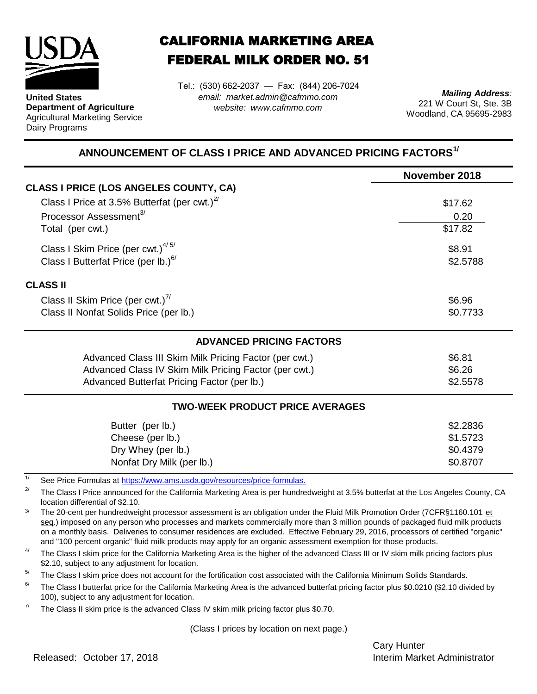

**United States Department of Agriculture** Agricultural Marketing Service Dairy Programs

## CALIFORNIA MARKETING AREA FEDERAL MILK ORDER NO. 51

*email: market.admin@cafmmo.com website: www.cafmmo.com* Tel.: (530) 662-2037 — Fax: (844) 206-7024

*Mailing Address:* 221 W Court St, Ste. 3B Woodland, CA 95695-2983

## **ANNOUNCEMENT OF CLASS I PRICE AND ADVANCED PRICING FACTORS1/**

|                                                                          | November 2018 |  |  |  |
|--------------------------------------------------------------------------|---------------|--|--|--|
| <b>CLASS I PRICE (LOS ANGELES COUNTY, CA)</b>                            |               |  |  |  |
| Class I Price at 3.5% Butterfat (per cwt.) $^{2/}$                       | \$17.62       |  |  |  |
| Processor Assessment <sup>3/</sup>                                       | 0.20          |  |  |  |
| Total (per cwt.)                                                         | \$17.82       |  |  |  |
| Class I Skim Price (per cwt.) $4/5/$<br>\$8.91                           |               |  |  |  |
| Class I Butterfat Price (per lb.) <sup>6/</sup>                          | \$2.5788      |  |  |  |
| <b>CLASS II</b>                                                          |               |  |  |  |
| Class II Skim Price (per cwt.) <sup>7/</sup>                             | \$6.96        |  |  |  |
| Class II Nonfat Solids Price (per lb.)                                   | \$0.7733      |  |  |  |
| <b>ADVANCED PRICING FACTORS</b>                                          |               |  |  |  |
| Advanced Class III Skim Milk Pricing Factor (per cwt.)                   | \$6.81        |  |  |  |
| Advanced Class IV Skim Milk Pricing Factor (per cwt.)                    | \$6.26        |  |  |  |
| Advanced Butterfat Pricing Factor (per lb.)                              | \$2.5578      |  |  |  |
| <b>TWO-WEEK PRODUCT PRICE AVERAGES</b>                                   |               |  |  |  |
| Butter (per lb.)                                                         | \$2.2836      |  |  |  |
| Cheese (per lb.)                                                         | \$1.5723      |  |  |  |
| Dry Whey (per lb.)                                                       | \$0.4379      |  |  |  |
| Nonfat Dry Milk (per lb.)                                                | \$0.8707      |  |  |  |
| See Price Formulas at https://www.ams.usda.gov/resources/price-formulas. |               |  |  |  |

2/ The Class I Price announced for the California Marketing Area is per hundredweight at 3.5% butterfat at the Los Angeles County, CA location differential of \$2.10.

3/ The 20-cent per hundredweight processor assessment is an obligation under the Fluid Milk Promotion Order (7CFR§1160.101 et seg.) imposed on any person who processes and markets commercially more than 3 million pounds of packaged fluid milk products on a monthly basis. Deliveries to consumer residences are excluded. Effective February 29, 2016, processors of certified "organic" and "100 percent organic" fluid milk products may apply for an organic assessment exemption for those products.

4/ The Class I skim price for the California Marketing Area is the higher of the advanced Class III or IV skim milk pricing factors plus \$2.10, subject to any adjustment for location.

 $5/$ The Class I skim price does not account for the fortification cost associated with the California Minimum Solids Standards.

6/ The Class I butterfat price for the California Marketing Area is the advanced butterfat pricing factor plus \$0.0210 (\$2.10 divided by 100), subject to any adjustment for location.

7/ The Class II skim price is the advanced Class IV skim milk pricing factor plus \$0.70.

(Class I prices by location on next page.)